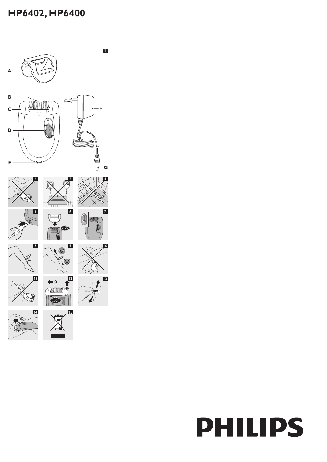# **HP6402, HP6400**



# **PHILIPS**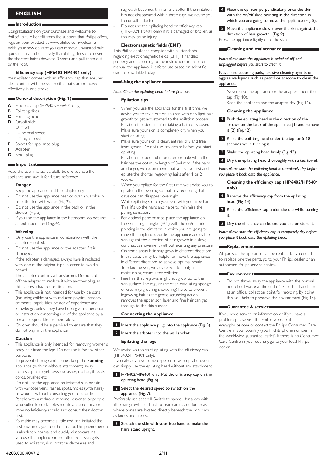# **English**

# **Introduction**

Congratulations on your purchase and welcome to Philips! To fully benefit from the support that Philips offers, register your product at www.philips.com/welcome. With your new epilator you can remove unwanted hair quickly, easily and effectively. Its rotating discs catch even the shortest hairs (down to 0.5mm) and pull them out by the root.

# **Efficiency cap (HP6402/HP6401 only)**

Your epilator comes with an efficiency cap that ensures ideal contact with the skin so that hairs are removed effectively in one stroke.

# **General description (Fig. 1)**

- **A** Efficiency cap (HP6402/HP6401 only)
- **B** Epilating discs
- **C** Epilating head
- **D** On/off slide
- $Q = \text{off}$ -
- $I = normal speed$ -
- $II = high speed$ -
- **E** Socket for appliance plug
- **F** Adapter

# **G** Small plug

# **Important**

Read this user manual carefully before you use the appliance and save it for future reference.

# **Danger**

Keep the appliance and the adapter dry. -

- Do not use the appliance near or over a washbasin or bath filled with water (Fig. 2). -
- Do not use the appliance in the bath or in the shower (Fig. 3). -
- If you use the appliance in the bathroom, do not use an extension cord (Fig. 4). -

# **Warning**

- Only use the appliance in combination with the adapter supplied. -
- Do not use the appliance or the adapter if it is damaged. -
- If the adapter is damaged, always have it replaced with one of the original type in order to avoid a hazard. -
- The adapter contains a transformer. Do not cut off the adapter to replace it with another plug, as this causes a hazardous situation. -
- This appliance is not intended for use by persons (including children) with reduced physical, sensory or mental capabilities, or lack of experience and knowledge, unless they have been given supervision or instruction concerning use of the appliance by a person responsible for their safety. -
- Children should be supervised to ensure that they do not play with the appliance. -

# **Caution**

- This appliance is only intended for removing women's body hair from the legs. Do not use it for any other purpose. -
- To prevent damage and injuries, keep the **running** appliance (with or without attachment) away from scalp hair, eyebrows, eyelashes, clothes, threads, cords, brushes etc. -
- Do not use the appliance on irritated skin or skin with varicose veins, rashes, spots, moles (with hairs) or wounds without consulting your doctor first. People with a reduced immune response or people who suffer from diabetes mellitus, haemophilia or immunodeficiency should also consult their doctor first. -
- Your skin may become a little red and irritated the first few times you use the epilator. This phenomenon is absolutely normal and quickly disappears. As you use the appliance more often, your skin gets used to epilation, skin irritation decreases and -

regrowth becomes thinner and softer. If the irritation has not disappeared within three days, we advise you to consult a doctor.

Do not use the epilating head or efficiency cap (HP6402/HP6401 only) if it is damaged or broken, as this may cause injury.

# **Electromagnetic fields (EMF)**

This Philips appliance complies with all standards regarding electromagnetic fields (EMF). If handled properly and according to the instructions in this user manual, the appliance is safe to use based on scientific evidence available today.

# **Using the appliance**

# *Note: Clean the epilating head before first use.*

# **Epilation tips**

-

-

-

- When you use the appliance for the first time, we advise you to try it out on an area with only light hair growth to get accustomed to the epilation process. -
- Epilation is easier just after taking a bath or shower. Make sure your skin is completely dry when you start epilating. -
- Make sure your skin is clean, entirely dry and free from grease. Do not use any cream before you start epilating. -
- Epilation is easier and more comfortable when the hair has the optimum length of 3–4 mm. If the hairs are longer, we recommend that you shave first and epilate the shorter regrowing hairs after 1 or 2 weeks. -
- When you epilate for the first time, we advise you to epilate in the evening, so that any reddening that develops can disappear overnight. -
- While epilating stretch your skin with your free hand. This lifts up the hairs and helps to minimise the pulling sensation. -
- For optimal performance, place the appliance on the skin at right angles (90°) with the on/off slide pointing in the direction in which you are going to move the appliance. Guide the appliance across the skin against the direction of hair growth in a slow, continuous movement without exerting any pressure.
- On some areas, hair may grow in different directions. In this case, it may be helpful to move the appliance in different directions to achieve optimal results. -
- To relax the skin, we advise you to apply a moisturising cream after epilation. -
- Fine hair that regrows might not grow up to the skin surface. The regular use of an exfoliating sponge or cream (e.g. during showering) helps to prevent ingrowing hair as the gentle scrubbing action removes the upper skin layer and fine hair can get through to the skin surface.

# **Connecting the appliance**

- 1 Insert the appliance plug into the appliance (Fig. 5).
- 2 Insert the adapter into the wall socket.

# **Epilating the legs**

We advise you to start epilating with the efficiency cap (HP6402/HP6401 only).

If you already have some experience with epilation, you can simply use the epilating head without any attachment.

1 HP6402/HP6401 only: Put the efficiency cap on the epilating head (Fig. 6).

# 2 Select the desired speed to switch on the appliance (Fig. 7).

Preferably use speed II. Switch to speed I for areas with little hair growth, for hard-to-reach areas and for areas where bones are located directly beneath the skin, such as knees and ankles.

# **3** Stretch the skin with your free hand to make the hairs stand upright.

- **4** Place the epilator perpendicularly onto the skin with the on/off slide pointing in the direction in which you are going to move the appliance (Fig. 8).
- 5 Move the appliance slowly over the skin, against the direction of hair growth. (Fig. 9) Press the appliance lightly onto the skin.

# **Cleaning and maintenance**

*Note: Make sure the appliance is switched off and unplugged before you start to clean it.* 

# Never use scouring pads, abrasive cleaning agents or aggressive liquids such as petrol or acetone to clean the appliance.

- Never rinse the appliance or the adapter under the tap (Fig. 10). -
- Keep the appliance and the adapter dry (Fig. 11). -

# **Cleaning the appliance**

- **1** Push the epilating head in the direction of the arrows on the back of the appliance (1) and remove it (2) (Fig. 12).
- 2 Rinse the epilating head under the tap for 5-10 seconds while turning it.
- 3 Shake the epilating head firmly (Fig. 13).
- **4** Dry the epilating head thoroughly with a tea towel.

*Note: Make sure the epilating head is completely dry before you place it back onto the appliance.*

# **Cleaning the efficiency cap (HP6402/HP6401 only)**

- 1 Remove the efficiency cap from the epilating head (Fig. 14).
- 2 Rinse the efficiency cap under the tap while turning it.
- **3** Dry the efficiency cap before you use or store it.

*Note: Make sure the efficiency cap is completely dry before you place it back onto the epilating head.*

# **Replacement**

All parts of the appliance can be replaced. If you need to replace one the parts, go to your Philips dealer or an authorised Philips service centre.

# **Environment**

Do not throw away the appliance with the normal household waste at the end of its life, but hand it in at an official collection point for recycling. By doing this, you help to preserve the environment (Fig. 15). -

### **Guarantee & service**

If you need service or information or if you have a problem, please visit the Philips website at www.philips.com or contact the Philips Consumer Care Centre in your country (you find its phone number in the worldwide guarantee leaflet). If there is no Consumer Care Centre in your country, go to your local Philips dealer.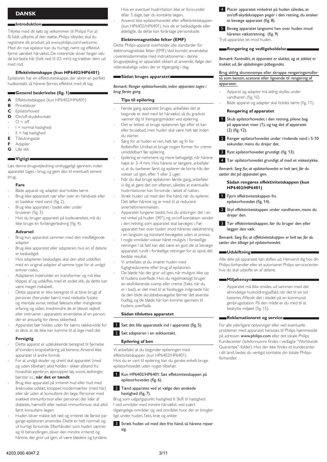# **Dansk**

# **Introduktion**

Tillykke med dit køb og velkommen til Philips! For at få fuldt udbytte af den støtte, Philips tilbyder, skal du registrere dit produkt på www.philips.com/welcome. Med din nye epilator kan du hurtigt, nemt og effektivt fjerne uønsket hårvækst. De roterende skiver fanger selv de korteste hår (helt ned til 0,5 mm) og trækker dem ud med rod.

# **Effektivitetskappe (kun HP6402/HP6401)**

Epilatoren har en effektivitetskappe, der sikrer en perfekt hudkontakt, så hårene fjernes effektivt med ét tag.

# **Generel beskrivelse (fig. 1)**

- **A** Effektivitetskappe (kun HP6402/HP6401)
- **B** Pincetskiver
- **C** Epilatorhoved
- **D** On/off-skydekontakt
- $O =$  off -
- $I = normal$  hastighed -
- II = høj hastighed -
- **E** Tilslutningsstik
- **F** Adapter **G** Lille stik
- 

# **Vigtigt**

Læs denne brugsvejledning omhyggeligt igennem, inden apparatet tages i brug, og gem den til eventuelt senere brug.

# **Fare**

- Både apparat og adapter skal holdes tørre. -
- Brug ikke apparatet nær eller over en håndvask eller et badekar med vand (fig. 2). -
- Brug ikke apparatet i badet eller under bruseren (fig. 3). -
- Hvis du bruger apparatet på badeværelset, må du ikke bruge en forlængerledning (fig. 4). -

### **Advarsel**

- Brug kun apparatet sammen med den medfølgende adapter. -
- Brug ikke apparatet eller adapteren, hvis en af delene er beskadiget. -
- Hvis adapteren beskadiges, skal den altid udskiftes med en original adapter af samme type for at undgå enhver risiko. -
- Adapteren indeholder en transformer og må ikke klippes af og udskiftes med et andet stik, da dette kan være meget risikabelt. -
- Dette apparat er ikke beregnet til at blive brugt af personer (herunder børn) med nedsatte fysiske og mentale evner, nedsat følesans eller manglende erfaring og viden, medmindre de er blevet vejledt eller instrueret i apparatets anvendelse af en person, der er ansvarlig for deres sikkerhed. -
- Apparatet bør holdes uden for børns rækkevidde for at sikre, at de ikke kan komme til at lege med det. -

# **Forsigtig**

- Dette apparat er udelukkende beregnet til fjernelse af kvinders kropsbehåring på benene. Anvend ikke apparatet til andre formål. -
- For at undgå skader og uheld skal apparatet (med og uden tilbehør) altid holdes i sikker afstand fra hovedhår, øjenbryn, øjenvipper, tøj, snore, ledninger, børster o.l., **når det er tændt**. -
- Brug ikke apparatet på irriteret hud eller hud med åreknuder, udslæt, knopper, modermærker (med hår) eller sår uden at konsultere din læge. Personer med svækket immunforsvar eller personer, der lider af diabetes, hæmofili eller nedsat immunforsvar, skal altid først konsultere lægen. -
- Huden bliver måske lidt rød og irriteret de første par gange epilatoren anvendes. Dette er helt normalt og vil hurtigt forsvinde. Efterhånden som huden vænner sig til behandlingen, bliver den mindre irriteret og hårene, der gror ud igen, vil være blødere og tyndere. -

Hvis en eventuel hudirritation ikke er forsvundet efter 3 dage, bør du kontakte lægen.

Anvend ikke epilatorhovedet eller effektivitetskappen (kun HP6402/HP6401), hvis de er beskadigede eller ødelagte, da dette kan forårsage personskade.

# **Elektromagnetiske felter (EMF)**

Dette Philips-apparat overholder alle standarder for elektromagnetiske felter (EMF). Ved korrekt anvendelse i overensstemmelse med instruktionerne i denne brugsvejleding, er apparatet sikkert at anvende, ifølge den videnskabelige viden, der er tilgængelig i dag.

### **Sådan bruges apparatet**

# *Bemærk: Rengør epilatorhovedet, inden apparatet tages i brug første gang.*

# **Tips til epilering**

-

-

-

-

- Første gang apparatet bruges, anbefales det at begynde et sted med let hårvækst, så du gradvist vænner dig til fremgangsmåden ved epilering. -
- Det er lettest at bruge epilatoren lige efter et kareller brusebad, men huden skal være helt tør, inden du starter. -
- Sørg for at huden er ren, helt tør og fri for fedtstoffer. Undlad at bruge nogen former for creme umiddelbart før epilering. -
- Epilering er nemmere og mere behageligt, når hårene højst er 3–4 mm. Hvis hårene er længere, anbefaler vi, at du barberer først og epilerer de korte hår, der vokser ud igen, efter 1 eller 2 uger. -
- Når du skal bruge epilatoren første gang, anbefaler vi dig at gøre det om aftenen, således at eventuelle hudirritationer kan forsvinde i løbet af natten. -
- Stræk huden ud med den frie hånd, når du epilerer. Det løfter hårene og er med til at reducere smertefornemmelsen.
- Apparatet fungerer bedst, hvis du anbringer det i en ret vinkel på huden (90°), og on/off-kontakten vender i den retning, som apparatet skal bevæges i. Før apparatet hen over huden imod hårenes vækstretning -
- i en langsom og konstant bevægelse uden at presse. I nogle områder vokser håret muligvis i forskellige retninger. I så fald kan det være en god ide at bevæge apparatet rundt i forskellige retninger for at opnå det bedste resultat.
- Vi anbefaler, at du smører huden med fugtighedscreme efter brug af epilatoren. -
- De bløde hår, der gror ud igen, når muligvis ikke op til hudens overflade. Hvis du regelmæssigt bruger en eksfolierende svamp eller creme (f.eks. når du er i bad), er det med til at forebygge indgroede hår, da den blide skrubbebevægelse fjerner det øverste hudlag, og de bløde hår kan komme igennem til hudens overflade.

# **Sådan tilsluttes apparatet**

- **1** Sæt det lille apparatstik ind i apparatet (fig. 5).
- 2 Sæt adapteren i en stikkontakt.

# **Epilering af ben**

Vi anbefaler, at du begynder epileringen med effektivitetskappen (kun HP6402/HP6401). Hvis du er vant til epilering, kan du ganske enkelt bruge epilatorhovedet uden noget tilbehør.

# 1 Kun HP6402/HP6401: Sæt effektivitetskappen på epilatorhovedet (fig. 6).

# 2 Tænd apparatet ved at vælge den ønskede hastighed (fig. 7).

Brug som udgangspunkt hastighed II. Skift til hastighed I ved områder med mindre hårvækst, ved svært tilgængelige områder og ved områder, hvor der er knogler lige under huden, f.eks. knæ og ankler.

# 3 Stræk huden ud med den frie hånd, så hårene rejser sig.

- 4 Placér apparatet vinkelret på huden således, at on/off-skydeknappen peger i den retning, du ønsker at bevæge apparatet (fig. 8).
- 5 Bevæg apparatet langsomt hen over huden imod hårenes vækstretning. (fig. 9) Tryk apparatet let mod huden.

# **Rengøring og vedligeholdelse**

*Bemærk: Kontrollér, at apparatet er slukket, og at stikket er trukket ud, før opladningen påbegyndes.* 

# Brug aldrig skuresvampe eller skrappe rengøringsmidler så som benzin, acetone eller lignende til rengøring af apparatet.

- Apparat og adapter må aldrig skylles under vandhanen (fig. 10) -
- Både apparat og adapter skal holdes tørre (fig. 11). -

# **Rengøring af apparatet**

- 1 Skub epilatorhovedet i den retning, pilene bag på apparatet viser (1), og tag det af apparatet (2) (fig. 12).
- 2 Rengør epilatorhovedet under rindende vand i 5-10 sekunder, mens du drejer det.
- **3** Ryst epilatorhovedet grundigt (fig. 13).
- **4** Tør epilatorhovedet grundigt af med et viskestykke.

*Bemærk: Sørg for, at epilatorhovedet er helt tørt, før du sætter det på apparatet igen.*

# **Sådan rengøres effektivitetskappen (kun HP6402/HP6401)**

- 1 Fjern effektivitetskappen fra epilatorhovedet (fig. 14).
- 2 Skyl effektivitetskappen under vandhanen, mens du drejer den.
- 3 Tør effektivitetskappen, før du bruger den eller lægger den væk.

*Bemærk: Sørg for, at effektivitetskappen er helt tør, før du sætter den tilbage på epilatorhovedet.*

# **Udskiftning**

Alle dele på apparatet kan skiftes ud. Henvend dig hos din Philips-forhandler eller et autoriseret Philips servicecenter, hvis du skal udskifte en af delene.

# **Miljøhensyn**

Apparatet må ikke smides ud sammen med det almindelige husholdningsaffald, når det til sin tid kasseres. Aflevér det i stedet på en kommunal genbrugsstation. På den måde er du med til at beskytte miljøet (fig. 15). -

# **Reklamationsret og service**

For alle yderligere oplysninger eller ved eventuelle problemer med apparatet henvises til Philips hjemmeside på adressen www.philips.com eller det lokale Philips Kundecenter (telefonnumre findes i vedlagte "Worldwide Guarantee"-folder). Hvis der ikke findes et kundecenter i dit land, bedes du venligst kontakte din lokale Philipsforhandler.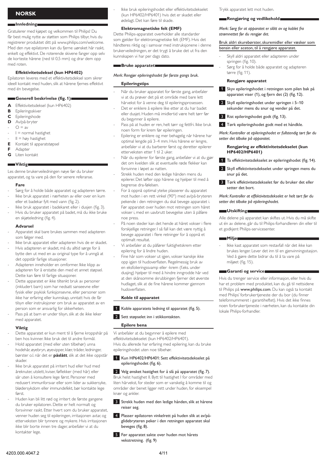# **Norsk**

# **Innledning**

Gratulerer med kjøpet og velkommen til Philips! Du får best mulig nytte av støtten som Philips tilbyr, hvis du registrerer produktet ditt på www.philips.com/welcome. Med den nye epilatoren kan du fjerne uønsket hår raskt, enkelt og effektivt. De roterende skivene fanger opp selv de korteste hårene (ned til 0,5 mm) og drar dem opp med roten.

# **Effektivitetsdeksel (kun HP6402)**

Epilatoren leveres med et effektivitetsdeksel som sikrer ideell kontakt med huden, slik at hårene fjernes effektivt med én bevegelse

# **Generell beskrivelse (fig. 1)**

- **A** Effektivitetsdeksel (kun HP6402)
- **B** Epileringsskiver
- **C** Epileringshode
- **D** Av/på-bryter
- $Q = av$ -
- $I = normal$  hastighet -
- $II = h\omega y$  hastighet -
- **E** Kontakt til apparatstøpsel
- **F** Adapter
- **G** Liten kontakt

# **Viktig**

Les denne brukerveiledningen nøye før du bruker apparatet, og ta vare på den for senere referanse.

# **Fare**

- Sørg for å holde både apparatet og adapteren tørre. Ikke bruk apparatet i nærheten av eller over en kum eller et badekar fylt med vann (fig. 2). - -
- Ikke bruk apparatet i badekaret eller i dusjen (fig. 3). Hvis du bruker apparatet på badet, må du ikke bruke - -
- en skjøteledning (fig. 4).

# **Advarsel**

- Apparatet skal bare brukes sammen med adapteren som følger med. -
- Ikke bruk apparatet eller adapteren hvis de er skadet. -
- Hvis adapteren er skadet, må du alltid sørge for å bytte den ut med en av original type for å unngå at det oppstår farlige situasjoner. -
- Adapteren inneholder en omformer. Ikke klipp av adapteren for å erstatte den med et annet støpsel. Dette kan føre til farlige situasjoner. -
- Dette apparatet er ikke tiltenkt bruk av personer (inkludert barn) som har nedsatt sanseevne eller fysisk eller psykisk funksjonsevne, eller personer som ikke har erfaring eller kunnskap, unntatt hvis de får tilsyn eller instruksjoner om bruk av apparatet av en person som er ansvarlig for sikkerheten. -
- Pass på at barn er under tilsyn, slik at de ikke leker med apparatet. -

# **Viktig**

- Dette apparatet er kun ment til å fjerne kroppshår på ben hos kvinner. Ikke bruk det til andre formål. -
- Hold apparatet (med eller uten tilbehør) unna hodehår, øyebryn, øyevipper, klær, tråder, ledninger, børster o.l. når det er **påslått**, slik at det ikke oppstår skader. -
- Ikke bruk apparatet på irritert hud eller hud med åreknuter, utslett, kviser, føflekker (med hår) eller sår uten å konsultere lege først. Personer med redusert immunforsvar eller som lider av sukkersyke, blødersykdom eller immundefekt, bør kontakte lege først. -
- Huden kan bli litt rød og irritert de første gangene du bruker epilatoren. Dette er helt normalt og forsvinner raskt. Etter hvert som du bruker apparatet, venner huden seg til epileringen, irritasjonen avtar, og etterveksten blir tynnere og mykere. Hvis irritasjonen ikke blir borte innen tre dager, anbefaler vi at du kontakter lege. -

Ikke bruk epileringshodet eller effektivitetsdekselet (kun HP6402/HP6401) hvis det er skadet eller ødelagt. Det kan føre til skade.

# **Elektromagnetiske felt (EMF)**

Dette Philips-apparatet overholder alle standarder som gjelder for elektromagnetiske felt (EMF). Hvis det håndteres riktig og i samsvar med instruksjonene i denne brukerveiledningen, er det trygt å bruke det ut fra den kunnskapen vi har per dags dato.

# **Bruke apparatet**

# *Merk: Rengjør epileringshodet før første gangs bruk.*

# **Epileringstips**

-

-

-

-

- Når du bruker apparatet for første gang, anbefaler vi at du prøver det på et område med bare lett hårvekst for å venne deg til epileringsprosessen. -
- Det er enklere å epilere like etter at du har badet eller dusjet. Huden må imidlertid være helt tørr før du begynner å epilere. -
- Pass på at huden er ren, helt tørr og fettfri. Ikke bruk noen form for krem før epileringen. -
- Epilering er enklere og mer behagelig når hårene har optimal lengde på 3–4 mm. Hvis hårene er lengre, anbefaler vi at du barberer først og deretter epilerer etterveksten etter 1 til 2 uker. -
- Når du epilerer for første gang, anbefaler vi at du gjør det om kvelden slik at eventuelle røde flekker kan forsvinne i løpet av natten. -
- Strekk huden med den ledige hånden mens du epilerer. Det løfter opp hårene og hjelper til med å begrense dra-følelsen. -
- For å oppnå optimal ytelse plasserer du apparatet mot huden i en rett vinkel (90°) med av/på-bryteren pekende i den retningen du skal bevege apparatet i. Før apparatet over huden mot retningen som håret vokser i, med en uavbrutt bevegelse uten å påføre noe press.
- På noen steder kan det hende at håret vokser i flere forskjellige retninger. I så fall kan det være nyttig å bevege apparatet i flere retninger for å oppnå et optimalt resultat. -
- Vi anbefaler at du påfører fuktighetskrem etter epilering for å lindre huden.
- Fine hår som vokser ut igjen, vokser kanskje ikke opp igjen til hudoverflaten. Regelmessig bruk av en eksfolieringssvamp eller -krem (f.eks. under dusjing) hjelper til med å hindre inngrodde hår ved at den skånsomme skrubbingen fjerner det øverste hudlaget, slik at de fine hårene kommer gjennom hudoverflaten.

# **Koble til apparatet**

1 Koble apparatets ledning til apparatet (fig. 5).

# 2 Sett støpselet inn i stikkontakten.

# **Epilere bena**

Vi anbefaler at du begynner å epilere med effektivitetsdekselet (kun HP6402/HP6401). Hvis du allerede har erfaring med epilering, kan du bruke epileringshodet uten noe tilbehør.

# 1 Kun HP6402/HP6401: Sett effektivitetsdekselet på epileringshodet (fig. 6).

2 Velg ønsket hastighet for å slå på apparatet (fig. 7). Bruk helst hastighet II. Bytt til hastighet I for områder med liten hårvekst, for steder som er vanskelig å komme til og områder der benet ligger rett under huden, for eksempel knær og ankler.

- **3** Strekk huden med den ledige hånden, slik at hårene reiser seg.
- 4 Plasser epilatoren vinkelrett på huden slik at av/påglidebryteren peker i den retningen apparatet skal beveges (fig. 8).
- **5** Før apparatet sakte over huden mot hårets vekstretning. (fig. 9)

Trykk apparatet lett mot huden.

# **Rengjøring og vedlikehold**

# *Merk: Sørg for at apparatet er slått av og koblet fra strømnettet før du rengjør det.*

# Bruk aldri skurebørster, skuremidler eller væsker som bensin eller aceton, til å rengjøre apparatet.

- Skyll aldri apparatet eller adapteren under springen (fig. 10). -
- Sørg for å holde både apparatet og adapteren tørre (fig. 11). -

# **Rengjøre apparatet**

- 1 Skyv epileringshodet i retningen som pilen bak på apparatet viser (1), og fjern det (2) (fig. 12).
- 2 Skyll epileringshodet under springen i 5-10 sekunder mens du snur og vender på det.
- **3** Rist epileringshodet godt (fig. 13).
- **4** Tørk epileringshodet godt med et håndkle.

*Merk: Kontroller at epileringshodet er fullstendig tørt før du setter det tilbake på apparatet.*

# **Rengjøring av effektivitetsdekselet (kun HP6402/HP6401)**

- 1 Ta effektivitetsdekselet av epileringshodet (fig. 14).
- 2 Skyll effektivitetsdekselet under springen mens du snur på det.
- 3 Tørk effektivitetsdekselet før du bruker det eller setter det bort.

*Merk: Kontroller at effektivitetsdekselet er helt tørt før du setter det tilbake på epileringshodet.*

# **Utskifting**

Alle delene på apparatet kan skiftes ut. Hvis du må skifte ut én av delene, går du til Philips-forhandleren din eller til et godkjent Philips-servicesenter.

# **Miljø**

Ikke kast apparatet som restavfall når det ikke kan brukes lenger. Lever det inn til en gjenvinningsstasjon. Ved å gjøre dette bidrar du til å ta vare på miljøet (fig. 15). -

# **Garanti og service**

Hvis du trenger service eller informasjon, eller hvis du har et problem med produktet, kan du gå til nettsidene til Philips på www.philips.com. Du kan også ta kontakt med Philips' forbrukertjeneste der du bor (du finner telefonnummeret i garantiheftet). Hvis det ikke finnes noen forbrukertjeneste i nærheten, kan du kontakte din lokale Philips-forhandler.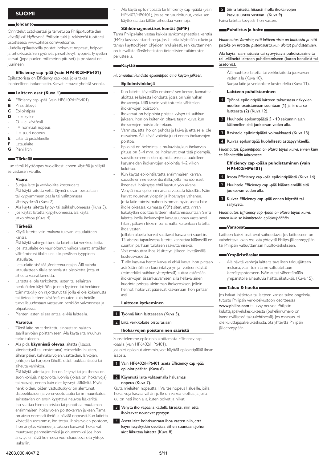# **Suomi**

# **Johdanto**

Onnittelut ostoksestasi ja tervetuloa Philips-tuotteiden käyttäjäksi! Hyödynnä Philipsin tuki ja rekisteröi tuotteesi osoitteessa www.philips.com/welcome.

Uudella epilaattorilla poistat ihokarvat nopeasti, helposti ja tehokkaasti. Sen pyörivät pinsettilevyt nyppivät lyhyetkin karvat (jopa puolen millimetrin pituiset) ja poistavat ne juurineen.

# **Efficiency cap -pää (vain HP6402/HP6401)**

Epilaattorissa on Efficiency cap -pää, joka takaa ihanteellisen ihokontaktin. Karvat irtoavat yhdellä vedolla.

# **Laitteen osat (Kuva 1)**

- **A** Efficiency cap -pää (vain HP6402/HP6401)<br>**B** Pinsettilevyt
- **B** Pinsettilevyt
- **C** Epilointipää
- **D** Liukukytkin
- O = ei käytössä -
- I = normaali nopeus -
- $II =$ suuri nopeus -
- **E** Liitäntä pistokkeelle
- **F** Latauslaite
- **G** Pieni liitin

# **Tärkeää**

Lue tämä käyttöopas huolellisesti ennen käyttöä ja säilytä se vastaisen varalle.

### **Vaara**

- Suojaa laite ja verkkolaite kosteudelta. -
- Älä käytä laitetta vettä täynnä olevan pesualtaan tai kylpyammeen päällä tai välittömässä läheisyydessä (Kuva 2). -
- Älä käytä laitetta kylpy- tai suihkuhuoneessa (Kuva 3). Jos käytät laitetta kylpyhuoneessa, älä käytä jatkojohtoa (Kuva 4). - -

# **Tärkeää**

- Käytä laitetta vain mukana tulevan latauslaitteen kanssa. -
- Älä käytä vahingoittunutta laitetta tai verkkolaitetta. -
- Jos latauslaite on vaurioitunut, vaihda vaaratilanteiden välttämiseksi tilalle aina alkuperäisen tyyppinen latauslaite. -
- Latauslaite sisältää jännitemuuntajan. Älä vaihda latauslaitteen tilalle toisenlaista pistoketta, jotta et aiheuta vaaratilannetta. -
- Laitetta ei ole tarkoitettu lasten tai sellaisten henkilöiden käyttöön, joiden fyysinen tai henkinen toimintakyky on rajoittunut tai joilla ei ole kokemusta tai tietoa laitteen käytöstä, muuten kuin heidän turvallisuudestaan vastaavan henkilön valvonnassa ja ohjauksessa. -
- Pienten lasten ei saa antaa leikkiä laitteella. -

# **Varoitus**

- Tämä laite on tarkoitettu ainoastaan naisten säärikarvojen poistamiseen. Älä käytä sitä muuhun tarkoitukseen. -
- Älä pidä **käynnissä olevaa** laitetta (lisäosa kiinnitettynä tai irrotettuna) esimerkiksi hiusten, silmäripsien, kulmakarvojen, vaatteiden, lankojen, johtojen tai harjojen lähellä, ettet loukkaa itseäsi tai aiheuta vahinkoa. -
- Älä käytä laitetta, jos iho on ärtynyt tai jos ihossa on suonikohjuja, näppylöitä, luomia (joissa on ihokarvoja) tai haavoja, ennen kuin olet kysynyt lääkäriltä. Myös henkilöiden, joiden vastustuskyky on alentunut, diabeetikoiden ja verenvuototautia tai immuunikatoa sairastavien on ensin kysyttävä neuvoa lääkäriltä. -
- Iho saattaa hieman aristaa tai punoittaa muutaman ensimmäisen ihokarvojen poistokerran jälkeen. Tämä on aivan normaali ilmiö ja häviää nopeasti. Kun laitetta käytetään useammin, iho tottuu ihokarvojen poistoon, ihon ärsytys vähenee ja takaisin kasvavat ihokarvat muuttuvat pehmeämmiksi ja ohuemmiksi. Jos ihon ärsytys ei häviä kolmessa vuorokaudessa, ota yhteys lääkäriin. -

Älä käytä epilointipäätä tai Efficiency cap -päätä (vain HP6402/HP6401), jos se on vaurioitunut, koska sen käyttö saattaa tällöin aiheuttaa vammoja.

# **Sähkömagneettiset kentät (EMF)**

Tämä Philips-laite vastaa kaikkia sähkömagneettisia kenttiä (EMF) koskevia standardeja. Jos laitetta käytetään oikein ja tämän käyttöohjeen ohjeiden mukaisesti, sen käyttäminen on turvallista tämänhetkisten tieteellisten tutkimusten perusteella.

### **Käyttö**

-

-

-

-

# *Huomautus: Puhdista epilointipää aina käytön jälkeen.*

# **Epilointivinkkejä**

- Kun laitetta käytetään ensimmäisen kerran, kannattaa aloittaa sellaisesta kohdasta, jossa on vain vähän ihokarvoja. Tällä tavoin voit totutella vähitellen ihokarvojen poistoon.
- Ihokarvat on helpointa poistaa kylvyn tai suihkun jälkeen. Ihon on kuitenkin oltava täysin kuiva, kun ihokarvojen poisto aloitetaan. -
- Varmista, että iho on puhdas ja kuiva ja että se ei ole rasvainen. Älä käytä voiteita juuri ennen ihokarvojen poistoa. -
- Epilointi on helpointa ja mukavinta, kun ihokarvan pituus on 3–4 mm. Jos ihokarvat ovat tätä pidempiä, suosittelemme niiden ajamista ensin ja uudelleen kasvaneiden ihokarvojen epilointia 1–2 viikon kuluttua. -
- Kun käytät epilointilaitetta ensimmäisen kerran, suosittelemme epilointia illalla, jotta mahdollisesti ilmenevä ihoärsytys ehtii laantua yön aikana. -
- Venytä ihoa epiloinnin aikana vapaalla kädelläsi. Näin karvat nousevat ylöspäin ja ihoärsytys vähenee. -
- Jotta laite toimisi mahdollisimman hyvin, aseta laite iholle oikeassa kulmassa (90°) siten, että virran liukukytkin osoittaa laitteen liikuttamissuuntaan. Siirrä laitetta iholla ihokarvojen kasvusuunnan vastaisesti hitain, jatkuvin liikkein painamatta kuitenkaan laitetta ihoa vasten.
- Joillakin alueilla karvat saattavat kasvaa eri suuntiin. Tällaisessa tapauksessa laitetta kannattaa käännellä eri suuntiin parhaan tuloksen saavuttamiseksi. -
- Voit rentouttaa ihoa käsittelyn jälkeen levittämällä kosteusvoidetta. -
- Tilalle kasvava hento karva ei ehkä kasva ihon pintaan asti. Säännöllinen kuorintatyynyn ja -voiteen käyttö (esimerkiksi suihkun yhteydessä) auttaa estämään ihokarvojen sisäänkasvamisen, sillä hellävarainen kuorinta poistaa uloimman ihokerroksen, jolloin hennot ihokarvat pääsevät kasvamaan ihon pintaan asti.

# **Laitteen kytkeminen**

- 1 Työnnä liitin laitteeseen (Kuva 5).
- **2** Liitä verkkolaite pistorasiaan.

# **Ihokarvojen poistaminen sääristä**

Suosittelemme epiloinnin aloittamista Efficiency cap -päällä (vain HP6402/HP6401). Jos olet epiloinut aiemmin, voit käyttää epilointipäätä ilman lisäosia.

# 1 Vain HP6402/HP6401: aseta Efficiency cap -pää epilointipäähän (Kuva 6).

# 2 Käynnistä laite valitsemalla haluamasi nopeus (Kuva 7).

Käytä mieluiten nopeutta II. Valitse nopeus I alueille, joilla ihokarvoja kasvaa vähän, joille on vaikea ulottua ja joilla luu on heti ihon alla, kuten polvet ja nilkat.

- 3 Venytä iho vapaalla kädellä kireäksi, niin että ihokarvat nousevat pystyyn.
- <sup>4</sup> Aseta laite kohtisuoraan ihoa vasten niin, että käynnistyskytkin osoittaa siihen suuntaan, johon aiot liikuttaa laitetta (Kuva 8).

**5** Siirrä laitetta hitaasti iholla ihokarvojen kasvusuuntaa vastaan. (Kuva 9) Paina laitetta kevyesti ihon vasten.

# **Puhdistus ja hoito**

*Huomautus: Varmista, että laitteen virta on katkaistu ja että pistoke on irrotettu pistorasiasta, kun aloitat puhdistamisen.* 

Älä käytä naarmuttavia tai syövyttäviä puhdistusaineita tai -välineitä laitteen puhdistamiseen (kuten bensiiniä tai asetonia).

- Älä huuhtele laitetta tai verkkolaitetta juoksevan veden alla (Kuva 10). -
- Suojaa laite ja verkkolaite kosteudelta (Kuva 11). -

# **Laitteen puhdistaminen**

- 1 Työnnä epilointipää laitteen takaosassa näkyvien nuolten osoittamaan suuntaan (1) ja irrota se laitteesta (2) (Kuva 12).
- **2** Huuhtele epilointipäätä 5 10 sekunnin ajan käännellen sitä juoksevan veden alla.
- 3 Ravistele epilointipäätä voimakkaasti (Kuva 13).
	- 4 Kuivaa epilointipää huolellisesti astiapyyhkeellä.

*Huomautus: Epilointipään on oltava täysin kuiva, ennen kuin se kiinnitetään laitteeseen.*

# **Efficiency cap -pään puhdistaminen (vain HP6402/HP6401)**

- 1 Irrota Efficiency cap -pää epilointipäästä (Kuva 14).
- 2 Huuhtele Efficiency cap -pää kääntelemällä sitä juoksevan veden alla.
- 3 Kuivaa Efficiency cap -pää ennen käyttöä tai säilytystä.

*Huomautus: Efficiency cap -pään on oltava täysin kuiva, ennen kuin se kiinnitetään epilointipäähän.*

# **Varaosat**

Laitteen kaikki osat ovat vaihdettavia. Jos laitteeseen on vaihdettava jokin osa, ota yhteyttä Philips-jälleenmyyjään tai Philipsin valtuuttamaan huoltokeskukseen.

# **Ympäristöasiaa**

Älä hävitä vanhoja laitteita tavallisen talousjätteen mukana, vaan toimita ne valtuutettuun kierrätyspisteeseen. Näin autat vähentämään ympäristölle aiheutuvia haittavaikutuksia (Kuva 15). -

# **Takuu & huolto**

Jos haluat lisätietoja tai laitteen kanssa tulee ongelmia, tutustu Philipsin verkkosivustoon osoitteessa www.philips.com tai kysy neuvoa Philipsin kuluttajapalvelukeskuksesta (puhelinnumero on kansainvälisessä takuulehtisessä). Jos maassasi ei ole kuluttajapalvelukeskusta, ota yhteyttä Philipsin jälleenmyyjään.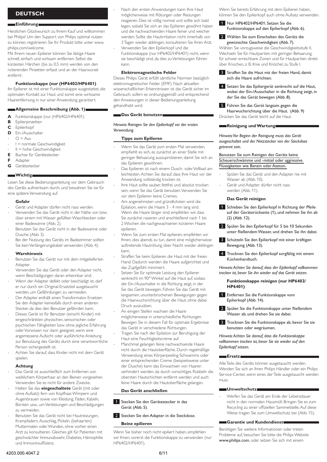# **Deutsch**

# **Einführung**

Herzlichen Glückwunsch zu Ihrem Kauf und willkommen bei Philips! Um den Support von Philips optimal nutzen zu können, registrieren Sie Ihr Produkt bitte unter www. philips.com/welcome.

Mit Ihrem neuen Epilierer können Sie lästige Haare schnell, einfach und wirksam entfernen. Selbst die kürzesten Härchen (bis zu 0,5 mm) werden von den rotierenden Pinzetten erfasst und an der Haarwurzel entfernt.

# **Funktionskappe (nur (HP6402/HP6401)**

Ihr Epilierer ist mit einer Funktionskappe ausgestattet, die optimalen Kontakt zur Haut und somit eine wirksame Haarentfernung in nur einer Anwendung garantiert.

# **Allgemeine Beschreibung (Abb. 1)**

- **A** Funktionskappe (nur (HP6402/HP6401)
- **B** Epilierpinzetten
- **C** Epilierkopf
- **D** Ein-/Ausschalter  $Q = A_{\text{LIS}}$
- -
- I = normale Geschwindigkeit II = hohe Geschwindigkeit -
- **E** Buchse für Gerätestecker -
- **F** Adapter
- **G** Gerätestecker

# **Wichtig**

Lesen Sie diese Bedienungsanleitung vor dem Gebrauch des Geräts aufmerksam durch, und bewahren Sie sie für eine spätere Verwendung auf.

# **Gefahr**

- Gerät und Adapter dürfen nicht nass werden. -
- Verwenden Sie das Gerät nicht in der Nähe von bzw. über einem mit Wasser gefüllten Waschbecken oder einer Badewanne (Abb. 2). -
- Benutzen Sie das Gerät nicht in der Badewanne oder Dusche (Abb. 3). -
- Bei der Nutzung des Geräts im Badezimmer sollten Sie kein Verlängerungskabel verwenden (Abb. 4). -

# **Warnhinweis**

- Benutzen Sie das Gerät nur mit dem mitgelieferten **Adapter** -
- Verwenden Sie das Gerät oder den Adapter nicht, wenn Beschädigungen daran erkennbar sind. -
- Wenn der Adapter defekt oder beschädigt ist, darf er nur durch ein Original-Ersatzteil ausgetauscht werden, um Gefährdungen zu vermeiden. -
- Der Adapter enthält einen Transformator. Ersetzen Sie den Adapter keinesfalls durch einen anderen Stecker, da dies den Benutzer gefährden kann. -
- Dieses Gerät ist für Benutzer (einschl. Kinder) mit eingeschränkten physischen, sensorischen oder psychischen Fähigkeiten bzw. ohne jegliche Erfahrung oder Vorwissen nur dann geeignet, wenn eine angemessene Aufsicht oder ausführliche Anleitung zur Benutzung des Geräts durch eine verantwortliche Person sichergestellt ist. -
- Achten Sie darauf, dass Kinder nicht mit dem Gerät spielen. -

# **Achtung**

- Das Gerät ist ausschließlich zum Entfernen von weiblichem Körperhaar an den Beinen vorgesehen. Verwenden Sie es nicht für andere Zwecke. -
- Halten Sie das **eingeschaltete** Gerät (mit oder ohne Aufsatz) fern von Kopfhaar, Wimpern und Augenbrauen sowie von Kleidung, Fäden, Kabeln, Bürsten usw., um Verletzungen und Beschädigungen zu vermeiden. -
- Benutzen Sie das Gerät nicht bei Hautreizungen, Krampfadern, Ausschlag, Pickeln, (behaarten) Muttermalen oder Wunden, ohne vorher einen Arzt zu konsultieren. Gleiches gilt für Patienten mit geschwächter Immunabwehr, Diabetes, Hämophilie und Immuninsuffizienz. -
- Nach den ersten Anwendungen kann Ihre Haut möglicherweise mit Rötungen oder Reizungen reagieren. Dies ist völlig normal und sollte sich bald legen, sobald Sie sich an das Epilieren gewöhnt haben und die nachwachsenden Haare feiner und weicher werden. Sollte die Hautirritation nicht innerhalb von 3 Tagen wieder abklingen, konsultieren Sie Ihren Arzt. Verwenden Sie den Epilierkopf und die
- Funktionskappe (nur HP6402/HP6401) nicht, wenn sie beschädigt sind, da dies zu Verletzungen führen kann.

# **Elektromagnetische Felder**

-

-

-

-

-

Dieses Philips Gerät erfüllt sämtliche Normen bezüglich elektromagnetischer Felder (EMF). Nach aktuellen wissenschaftlichen Erkenntnissen ist das Gerät sicher im Gebrauch, sofern es ordnungsgemäß und entsprechend den Anweisungen in dieser Bedienungsanleitung gehandhabt wird.

# **Das Gerät benutzen**

# *Hinweis: Reinigen Sie den Epilierkopf vor der ersten Verwendung.*

# **Tipps zum Epilieren**

- Wenn Sie das Gerät zum ersten Mal verwenden, empfiehlt es sich, es zunächst an einer Stelle mit geringer Behaarung auszuprobieren, damit Sie sich an das Epilieren gewöhnen. -
- Das Epilieren ist nach einem Dusch- oder Vollbad am leichtesten. Achten Sie darauf, dass Ihre Haut vor der Anwendung vollständig trocken ist. -
- Ihre Haut sollte sauber, fettfrei und absolut trocken sein, wenn Sie das Gerät benutzen. Verwenden Sie vor dem Epilieren keine Cremes. -
- Am angenehmsten und gründlichsten wird die Epilation, wenn die Haare 3 - 4 mm lang sind. Wenn die Haare länger sind, empfehlen wir, dass Sie zunächst rasieren und anschließend nach 1 bis 2 Wochen die nachgewachsenen kürzeren Haare epilieren.
- Wenn Sie zum ersten Mal epilieren, empfehlen wir Ihnen, dies abends zu tun, damit eine möglicherweise auftretende Hautrötung über Nacht wieder abklingen kann. -
- Straffen Sie beim Epilieren die Haut mit der freien Hand. Dadurch werden die Haare aufgerichtet und das Zupfgefühl minimiert. -
- Setzen Sie für optimale Leistung den Epilierer senkrecht im 90° Winkel auf die Haut auf, sodass der Ein-/Ausschalter in die Richtung zeigt, in der Sie das Gerät bewegen. Führen Sie das Gerät mit langsamen, ununterbrochenen Bewegungen gegen die Haarwuchsrichtung über die Haut, ohne dabei Druck auszuüben.
- An einigen Stellen wachsen die Haare möglicherweise in unterschiedliche Richtungen. Bewegen Sie in diesem Fall für optimale Ergebnisse das Gerät in verschiedene Richtungen. -
- Tragen Sie nach der Epilation zur Beruhigung der Haut eine Feuchtigkeitscreme auf. -
- Manchmal gelangen feine nachwachsende Haare nicht durch die Hautoberfläche. Durch regelmäßige Verwendung eines Körperpeeling-Schwamms oder einer entsprechenden Creme (beispielsweise unter der Dusche) kann das Einwachsen von Haaren verhindert werden, da durch vorsichtiges Rubbeln die obersten Hautschichten entfernt werden und auch feine Haare durch die Hautoberfläche gelangen.

# **Das Gerät anschließen**

- 1 Stecken Sie den Gerätestecker in das Gerät (Abb. 5).
- 2 Stecken Sie den Adapter in die Steckdose.

# **Beine epilieren**

Wenn Sie bisher noch nicht epiliert haben, empfehlen wir Ihnen, vorerst die Funktionskappe zu verwenden (nur HP6402/HP6401).

Wenn Sie bereits Erfahrung mit dem Epilieren haben, können Sie den Epilierkopf auch ohne Aufsatz verwenden.

1 Nur HP6402/HP6401: Setzen Sie die Funktionskappe auf den Epilierkopf (Abb. 6).

# 2 Wählen Sie zum Einschalten des Geräts die gewünschte Geschwindigkeit (Abb. 7).

Wählen Sie vorzugsweise die Geschwindigkeitsstufe II. Wechseln Sie für Hautpartien mit geringer Behaarung, für schwer erreichbare Zonen und für Hautpartien direkt über Knochen, z. B. Knie und Knöchel, zu Stufe I.

- Straffen Sie die Haut mit der freien Hand, damit sich die Haare aufrichten.
- 4 Setzen Sie das Epiliergerät senkrecht auf die Haut, wobei der Ein-/Ausschalter in die Richtung zeigt, in der Sie das Gerät bewegen (Abb. 8).
- 5 Führen Sie das Gerät langsam gegen die Haarwuchsrichtung über die Haut. (Abb. 9) Drücken Sie das Gerät leicht auf die Haut.

# **Reinigung und Wartung**

*Hinweis: Vor Beginn der Reinigung muss das Gerät ausgeschaltet und der Netzstecker von der Steckdose getrennt sein.* 

# Benutzen Sie zum Reinigen des Geräts keine Scheuerschwämme und -mittel oder aggressive Flüssigkeiten wie Benzin oder Azeton.

- Spülen Sie das Gerät und den Adapter nie mit Wasser ab (Abb. 10). -
- Gerät und Adapter dürfen nicht nass werden (Abb. 11). -

# **Das Gerät reinigen**

- 1 Schieben Sie den Epilierkopf in Richtung der Pfeile auf der Geräterückseite (1), und nehmen Sie ihn ab (2) (Abb. 12).
- 2 Spülen Sie den Epilierkopf für 5 bis 10 Sekunden unter fließendemWasser, und drehen Sie ihn dabei.
- 3 Schütteln Sie den Epilierkopf mit einer kräftigen Bewegung (Abb. 13).
- 4 Trocknen Sie den Epilierkopf sorgfältig mit einem Küchenhandtuch.

*Hinweis: Achten Sie darauf, dass der Epilierkopf vollkommen trocken ist, bevor Sie ihn wieder auf das Gerät setzen.*

# **Funktionskappe reinigen (nur HP6402/ HP6401)**

- 1 Entfernen Sie die Funktionskappe vom Epilierkopf (Abb. 14).
- 2 Spülen Sie die Funktionskappe unter fließendem Wasser ab, und drehen Sie sie dabei.
- **3** Trocknen Sie die Funktionskappe ab, bevor Sie sie benutzen oder wegräumen.

*Hinweis: Achten Sie darauf, dass die Funktionskappe vollkommen trocken ist, bevor Sie sie wieder auf den Epilierkopf setzen.*

# **Ersatz**

Alle Teile des Geräts können ausgetauscht werden. Wenden Sie sich an Ihren Philips Händler oder ein Philips Service-Center, wenn eines der Teile ausgetauscht werden muss.

# **Umweltschutz**

Werfen Sie das Gerät am Ende der Lebensdauer nicht in den normalen Hausmüll. Bringen Sie es zum Recycling zu einer offiziellen Sammelstelle. Auf diese Weise tragen Sie zum Umweltschutz bei (Abb. 15). -

# **Garantie und Kundendienst**

Benötigen Sie weitere Informationen oder treten Probleme auf, besuchen Sie bitte die Philips Website www.philips.com, oder setzen Sie sich mit einem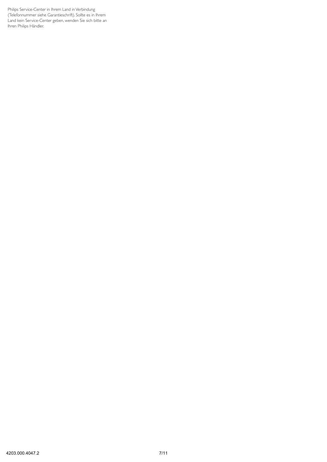Philips Service-Center in Ihrem Land in Verbindung (Telefonnummer siehe Garantieschrift). Sollte es in Ihrem Land kein Service-Center geben, wenden Sie sich bitte an Ihren Philips Händler.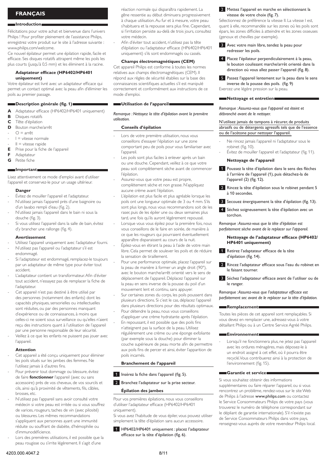# **Français**

# **Introduction**

Félicitations pour votre achat et bienvenue dans l'univers Philips ! Pour profiter pleinement de l'assistance Philips, enregistrez votre produit sur le site à l'adresse suivante : www.philips.com/welcome.

Ce nouvel épilateur permet une épilation rapide, facile et efficace. Ses disques rotatifs attrapent même les poils les plus courts (jusqu'à 0,5 mm) et les éliminent à la racine.

# **Adaptateur efficace (HP6402/HP6401 uniquement)**

Votre épilateur est livré avec un adaptateur efficace qui permet un contact optimal avec la peau afin d'éliminer les poils au premier passage.

# **Description générale (fig. 1)**

- **A** Adaptateur efficace (HP6402/HP6401 uniquement)
- **B** Disques rotatifs
- **C** Tête d'épilation
- **D** Bouton marche/arrêt
- $O = \text{arr}^2$ -
- I = vitesse normale -
- II = vitesse rapide -
- **E** Prise pour la fiche de l'appareil
- **F** Adaptateur
- **G** Petite fiche

# **Important**

Lisez attentivement ce mode d'emploi avant d'utiliser l'appareil et conservez-le pour un usage ultérieur.

# **Danger**

- Évitez de mouiller l'appareil et l'adaptateur. -
- N'utilisez jamais l'appareil près d'une baignoire ou d'un lavabo rempli d'eau (fig. 2). -
- N'utilisez jamais l'appareil dans le bain ni sous la douche (fig. 3). -
- Si vous utilisez l'appareil dans la salle de bain, évitez d'y brancher une rallonge (fig. 4). -

# **Avertissement**

- Utilisez l'appareil uniquement avec l'adaptateur fourni. -
- N'utilisez pas l'appareil ou l'adaptateur s'il est endommagé. -
- Si l'adaptateur est endommagé, remplacez-le toujours par un adaptateur de même type pour éviter tout accident. -
- L'adaptateur contient un transformateur. Afin d'éviter tout accident, n'essayez pas de remplacer la fiche de l'adaptateur. -
- Cet appareil n'est pas destiné à être utilisé par des personnes (notamment des enfants) dont les capacités physiques, sensorielles ou intellectuelles sont réduites, ou par des personnes manquant d'expérience ou de connaissances, à moins que celles-ci ne soient sous surveillance ou qu'elles n'aient reçu des instructions quant à l'utilisation de l'appareil par une personne responsable de leur sécurité. -
- Veillez à ce que les enfants ne puissent pas jouer avec l'appareil. -

# **Attention**

- Cet appareil a été conçu uniquement pour éliminer les poils situés sur les jambes des femmes. Ne l'utilisez jamais à d'autres fins. -
- Pour prévenir tout dommage ou blessure, évitez de faire **fonctionner** l'appareil (avec ou sans accessoire) près de vos cheveux, de vos sourcils et cils, ainsi qu'à proximité de vêtements, fils, câbles, brosses, etc. -
- N'utilisez pas l'appareil sans avoir consulté votre médecin si votre peau est irritée ou si vous souffrez de varices, rougeurs, taches de vin (avec pilosité) ou blessures. Les mêmes recommandations s'appliquent aux personnes ayant une immunité réduite ou souffrant de diabète, d'hémophilie ou d'immunodéficience. -
- Lors des premières utilisations, il est possible que la peau rougisse ou s'irrite légèrement. Il s'agit d'une -

réaction normale qui disparaîtra rapidement. La gêne ressentie au début diminuera progressivement à chaque utilisation. Au fur et à mesure, votre peau s'habituera et la repousse sera plus fine. Cependant, si l'irritation persiste au-delà de trois jours, consultez votre médecin.

Afin d'éviter tout accident, n'utilisez pas la tête d'épilation ou l'adaptateur efficace (HP6402/HP6401 uniquement) s'ils sont endommagés ou cassés. -

# **Champs électromagnétiques (CEM)**

Cet appareil Philips est conforme à toutes les normes relatives aux champs électromagnétiques (CEM). Il répond aux règles de sécurité établies sur la base des connaissances scientifiques actuelles s'il est manipulé correctement et conformément aux instructions de ce mode d'emploi.

# **Utilisation de l'appareil**

*Remarque : Nettoyez la tête d'épilation avant la première utilisation.*

### **Conseils d'épilation**

-

-

-

-

- Lors de votre première utilisation, nous vous conseillons d'essayer l'épilation sur une zone comportant peu de poils pour vous familiariser avec l'appareil. -
- Les poils sont plus faciles à enlever après un bain ou une douche. Cependant, veillez à ce que votre peau soit complètement sèche avant de commencer l'épilation. -
- Assurez-vous que votre peau est propre, complètement sèche et non grasse. N'appliquez aucune crème avant l'épilation. -
- L'épilation est plus facile et plus agréable lorsque les poils ont une longueur optimale de 3 ou 4 mm. S'ils sont plus longs, nous vous recommandons soit de les raser, puis de les épiler une ou deux semaines plus tard, une fois qu'ils auront légèrement repoussé. -
- Lorsque vous vous épilez pour la première fois, nous vous conseillons de le faire en soirée, de manière à ce que les rougeurs qui pourraient éventuellement apparaître disparaissent au cours de la nuit.
- Épilez-vous en étirant la peau à l'aide de votre main libre. Cela permet de soulever les poils et de réduire la sensation de tiraillement.
- Pour une performance optimale, placez l'appareil sur la peau de manière à former un angle droit (90°), avec le bouton marche/arrêt orienté vers le sens de déplacement de l'appareil. Déplacez l'appareil sur la peau en sens inverse de la pousse du poil d'un mouvement lent et continu, sans appuyer.
- Sur certaines zones du corps, les poils poussent dans plusieurs directions. Si c'est le cas, déplacez l'appareil dans plusieurs directions pour des résultats optimaux. -
- Pour détendre la peau, nous vous conseillons d'appliquer une crème hydratante après l'épilation. -
- En repoussant, il est possible que des poils fins n'atteignent pas la surface de la peau. Utilisez régulièrement une crème ou une éponge exfoliante (par exemple sous la douche) pour éliminer la couche supérieure de peau morte afin de permettre aux poils fins de percer et ainsi, éviter l'apparition de poils incarnés.

# **Branchement de l'appareil**



2 Branchez l'adaptateur sur la prise secteur.

# **Épilation des jambes**

Pour vos premières épilations, nous vous conseillons d'utiliser l'adaptateur efficace (HP6402/HP6401 uniquement).

Si vous avez l'habitude de vous épiler, vous pouvez utiliser simplement la tête d'épilation sans aucun accessoire.

1 HP6402/HP6401 uniquement : placez l'adaptateur efficace sur la tête d'épilation (fig. 6).

# 2 Mettez l'appareil en marche en sélectionnant la vitesse de votre choix (fig. 7).

Sélectionnez de préférence la vitesse II. La vitesse l est, quant à elle, recommandée sur les zones où les poils sont épars, les zones difficiles à atteindre et les zones osseuses (genoux et chevilles par exemple).

- **3** Avec votre main libre, tendez la peau pour redresser les poils.
- 4 Placez l'épilateur perpendiculairement à la peau, le bouton coulissant marche/arrêt orienté dans la direction où vous allez passer l'appareil (fig. 8).
- 5 Passez l'appareil lentement sur la peau dans le sens inverse de la pousse des poils. (fig. 9) Exercez une légère pression sur la peau.

# **Nettoyage et entretien**

*Remarque : Assurez-vous que l'appareil est éteint et débranché avant de le nettoyer.* 

# N'utilisez jamais de tampons à récurer, de produits abrasifs ou de détergents agressifs tels que de l'essence ou de l'acétone pour nettoyer l'appareil.

- Ne rincez jamais l'appareil ni l'adaptateur sous le robinet (fig. 10). -
- Évitez de mouiller l'appareil et l'adaptateur (fig. 11).

# **Nettoyage de l'appareil**

-

- 1 Poussez la tête d'épilation dans le sens des flèches à l'arrière de l'appareil (1), puis détachez-la de l'appareil (2) (fig. 12).
- 2 Rincez la tête d'épilation sous le robinet pendant 5 à 10 secondes.
- 3 Secouez énergiquement la tête d'épilation (fig. 13).
- 4 Séchez soigneusement la tête d'épilation avec un torchon.

*Remarque : Assurez-vous que la tête d'épilation est parfaitement sèche avant de la replacer sur l'appareil.*

# **Nettoyage de l'adaptateur efficace (HP6402/ HP6401 uniquement)**

- 1 Retirez l'adaptateur efficace de la tête d'épilation (fig. 14).
- 2 Rincez l'adaptateur efficace sous l'eau du robinet en le faisant tourner.
- 3 Séchez l'adaptateur efficace avant de l'utiliser ou de le ranger.

*Remarque : Assurez-vous que l'adaptateur efficace est parfaitement sec avant de le replacer sur la tête d'épilation.*

# **Remplacement**

Toutes les pièces de cet appareil sont remplaçables. Si vous devez en remplacer une, adressez-vous à votre détaillant Philips ou à un Centre Service Agréé Philips.

# **Environnement**

Lorsqu'il ne fonctionnera plus, ne jetez pas l'appareil avec les ordures ménagères, mais déposez-le à un endroit assigné à cet effet, où il pourra être recyclé. Vous contribuerez ainsi à la protection de l'environnement (fig. 15). -

## **Garantie et service**

Si vous souhaitez obtenir des informations supplémentaires ou faire réparer l'appareil, ou si vous rencontrez un problème, rendez-vous sur le site Web de Philips à l'adresse www.philips.com ou contactez le Service Consommateurs Philips de votre pays (vous trouverez le numéro de téléphone correspondant sur le dépliant de garantie internationale). S'il n'existe pas de Service Consommateurs Philips dans votre pays, renseignez-vous auprès de votre revendeur Philips local.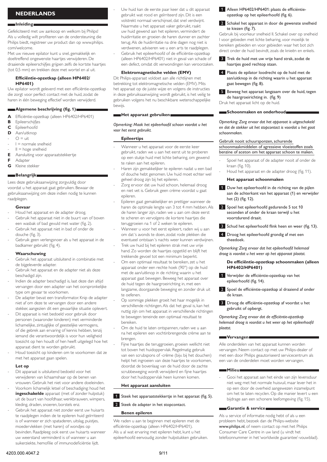# **Nederlands**

# **Inleiding**

Gefeliciteerd met uw aankoop en welkom bij Philips! Als u volledig wilt profiteren van de ondersteuning die Philips biedt, registreer uw product dan op www.philips. com/welcome.

Met uw nieuwe epilator kunt u snel, gemakkelijk en doeltreffend ongewenste haartjes verwijderen. De draaiende epileerschijfjes grijpen zelfs de kortste haartjes (tot 0,5 mm) en trekken deze met wortel en al uit.

# **Efficiëntie-opzetkap (alleen HP6402/ HP6401)**

Uw epilator wordt geleverd met een efficiëntie-opzetkap die zorgt voor perfect contact met de huid, zodat de haren in één beweging effectief worden verwijderd.

# **Algemene beschrijving (fig. 1)**

- **A** Efficiëntie-opzetkap (alleen HP6402/HP6401)
- **B** Epileerschijfjes
- **C** Epileerhoofd
- **D** Aan/uitknop
- $Q = \text{unit}$ -
- I = normale snelheid -
- $II =$  hoge snelheid -
- **E** Aansluiting voor apparaatstekkertje
- **F** Adapter
- **G** Kleine stekker

# **Belangrijk**

Lees deze gebruiksaanwijzing zorgvuldig door voordat u het apparaat gaat gebruiken. Bewaar de gebruiksaanwijzing om deze indien nodig te kunnen raadplegen.

# **Gevaar**

- Houd het apparaat en de adapter droog. -
- Gebruik het apparaat niet in de buurt van of boven een wasbak of bad gevuld met water (fig. 2). -
- Gebruik het apparaat niet in bad of onder de douche (fig. 3). -
- Gebruik geen verlengsnoer als u het apparaat in de badkamer gebruikt (fig. 4). -

# **Waarschuwing**

- Gebruik het apparaat uitsluitend in combinatie met de bijgeleverde adapter. -
- Gebruik het apparaat en de adapter niet als deze beschadigd zijn. -
- Indien de adapter beschadigd is, laat deze dan altijd vervangen door een adapter van het oorspronkelijke type om gevaar te voorkomen. -
- De adapter bevat een transformator. Knip de adapter niet af om deze te vervangen door een andere stekker, aangezien dit een gevaarlijke situatie oplevert. -
- Dit apparaat is niet bedoeld voor gebruik door personen (waaronder kinderen) met verminderde lichamelijke, zintuiglijke of geestelijke vermogens, of die gebrek aan ervaring of kennis hebben, tenzij iemand die verantwoordelijk is voor hun veiligheid toezicht op hen houdt of hen heeft uitgelegd hoe het apparaat dient te worden gebruikt. -
- Houd toezicht op kinderen om te voorkomen dat ze met het apparaat gaan spelen. -

# **Let op**

- Dit apparaat is uitsluitend bedoeld voor het verwijderen van lichaamshaar op de benen van vrouwen. Gebruik het niet voor andere doeleinden. -
- Voorkom lichamelijk letsel of beschadiging: houd het **ingeschakelde** apparaat (met of zonder hulpstuk) uit de buurt van hoofdhaar, wenkbrauwen, wimpers, kleding, draden, snoeren, borstels enz. -
- Gebruik het apparaat niet zonder eerst uw huisarts te raadplegen indien de te epileren huid geïrriteerd is of wanneer er zich spataderen, uitslag, puistjes, moedervlekken (met haren) of wondjes op bevinden. Raadpleeg ook eerst uw huisarts wanneer uw weerstand verminderd is of wanneer u aan suikerziekte, hemofilie of immunodeficiëntie lijdt. -
- Uw huid kan de eerste paar keer dat u dit apparaat gebruikt wat rood en geïrriteerd zijn. Dit is een volstrekt normaal verschijnsel, dat snel verdwijnt. Naarmate u het apparaat vaker gebruikt, raakt uw huid gewend aan het epileren, vermindert de huidirritatie en groeien de haren dunner en zachter terug. Als de huidirritatie na drie dagen nog niet is verdwenen, adviseren we u een arts te raadplegen.
- Gebruik het epileerhoofd of de efficiëntie-opzetkap (alleen HP6402/HP6401) niet in geval van schade of een defect, omdat dit verwondingen kan veroorzaken. -

# **Elektromagnetische velden (EMV)**

Dit Philips-apparaat voldoet aan alle richtlijnen met betrekking tot elektromagnetische velden (EMV). Mits het apparaat op de juiste wijze en volgens de instructies in deze gebruiksaanwijzing wordt gebruikt, is het veilig te gebruiken volgens het nu beschikbare wetenschappelijke bewijs.

# **Het apparaat gebruiken**

*Opmerking: Maak het epileerhoofd schoon voordat u het voor het eerst gebruikt.*

# **Epileertips**

-

-

-

- Wanneer u het apparaat voor de eerste keer gebruikt, raden we u aan het eerst uit te proberen op een stukje huid met lichte beharing, om gewend te raken aan het epileren. -
- Haren zijn gemakkelijker te epileren nadat u een bad of douche hebt genomen. Uw huid moet echter wel geheel droog zijn bij het epileren. -
- Zorg ervoor dat uw huid schoon, helemaal droog en niet vet is. Gebruik geen crème voordat u gaat epileren. -
- Epileren gaat gemakkelijker en prettiger wanneer de haren de optimale lengte van 3 tot 4 mm hebben. Als de haren langer zijn, raden we u aan om deze eerst te scheren en vervolgens de kortere haartjes die teruggroeien na 1 of 2 weken te epileren. -
- Wanneer u voor het eerst epileert, raden wij u aan om dat 's avonds te doen, zodat rode plekken die eventueel ontstaan 's nachts weer kunnen verdwijnen. -
- Trek uw huid bij het epileren strak met uw vrije hand. Zo worden de haartjes opgetild en blijft het trekkende gevoel tot een minimum beperkt. -
- Om een optimaal resultaat te bereiken, zet u het apparaat onder een rechte hoek (90°) op de huid met de aan/uitknop in de richting waarin u het apparaat gaat bewegen. Beweeg het apparaat over de huid tegen de haargroeirichting in, met een langzame, doorgaande beweging en zonder druk uit te oefenen.
- Op sommige plekken groeit het haar mogelijk in verschillende richtingen. Als dat het geval is, kan het nuttig zijn om het apparaat in verschillende richtingen te bewegen teneinde een optimaal resultaat te bereiken. -
- Om de huid te laten ontspannen, raden we u aan na het epileren een vochtinbrengende crème aan te brengen. -
- Fijne haartjes die teruggroeien, groeien wellicht niet tot boven het huidoppervlak. Regelmatig gebruik van een scrubspons of -crème (bijv. bij het douchen) helpt het ingroeien van deze haartjes te voorkomen, doordat de bovenlaag van de huid door de zachte scrubbeweging wordt verwijderd en fijne haartjes door het huidoppervlak heen kunnen komen.

# **Het apparaat aansluiten**

- 1 Steek het apparaatstekkertje in het apparaat (fig. 5).
- 2 Steek de adapter in het stopcontact.

# **Benen epileren**

We raden u aan te beginnen met epileren met de efficiëntie-opzetkap (alleen HP6402/HP6401). Als u al wat ervaring met epileren hebt, kunt u het epileerhoofd eenvoudig zonder hulpstukken gebruiken.

- 1 Alleen HP6402/HP6401: plaats de efficiëntieopzetkap op het epileerhoofd (fig. 6).
- 2 Schakel het apparaat in door de gewenste snelheid te kiezen (fig. 7).

Gebruik bij voorkeur snelheid II. Schakel over op snelheid I voor gebieden met lichte beharing, voor moeilijk te bereiken gebieden en voor gebieden waar het bot zich direct onder de huid bevindt, zoals de knieën en enkels.

- **3** Trek de huid met uw vrije hand strak, zodat de haartjes goed rechtop staan.
- **4** Plaats de epilator loodrecht op de huid met de aan/uitknop in de richting waarin u het apparaat gaat bewegen (fig. 8).
- 5 Beweeg het apparaat langzaam over de huid, tegen de haargroeirichting in. (fig. 9) Druk het apparaat licht op de huid.

# **Schoonmaken en onderhoud**

*Opmerking: Zorg ervoor dat het apparaat is uitgeschakeld en dat de stekker uit het stopcontact is voordat u het gaat schoonmaken.* 

# Gebruik nooit schuursponzen, schurende

schoonmaakmiddelen of agressieve vloeistoffen zoals benzine of aceton om het apparaat schoon te maken.

- Spoel het apparaat of de adapter nooit af onder de kraan (fig. 10). -
- Houd het apparaat en de adapter droog (fig. 11). -

# **Het apparaat schoonmaken**

- 1 Duw het epileerhoofd in de richting van de pijlen aan de achterkant van het apparaat (1) en verwijder het (2) (fig. 12).
- 2 Spoel het epileerhoofd gedurende 5 tot 10 seconden af onder de kraan terwijl u het voortdurend draait.
- **3** Schud het epileerhoofd flink heen en weer (fig. 13).
- 4 Droog het epileerhoofd grondig af met een theedoek.

*Opmerking: Zorg ervoor dat het epileerhoofd helemaal droog is voordat u het weer op het apparaat plaatst.*

# **De efficiëntie-opzetkap schoonmaken (alleen HP6402/HP6401)**

- 1 Verwijder de efficiëntie-opzetkap van het epileerhoofd (fig. 14).
- 2 Spoel de efficiëntie-opzetkap al draaiend af onder de kraan.
- 3 Droog de efficiëntie-opzetkap af voordat u het gebruikt of opbergt.

*Opmerking: Zorg ervoor dat de efficiëntie-opzetkap helemaal droog is voordat u het weer op het epileerhoofd plaatst.*

# **Wervangen**

Alle onderdelen van het apparaat kunnen worden vervangen. Neem contact op met uw Philips-dealer of met een door Philips geautoriseerd servicecentrum als een van de onderdelen moet worden vervangen.

# **Milieu**

Gooi het apparaat aan het einde van zijn levensduur niet weg met het normale huisvuil, maar lever het in op een door de overheid aangewezen inzamelpunt om het te laten recyclen. Op die manier levert u een bijdrage aan een schonere leefomgeving (fig. 15). -

# **Garantie & service**

Als u service of informatie nodig hebt of als u een probleem hebt, bezoek dan de Philips-website www.philips.nl, of neem contact op met het Philips Consumer Care Centre in uw land (u vindt het telefoonnummer in het 'worldwide guarantee'-vouwblad).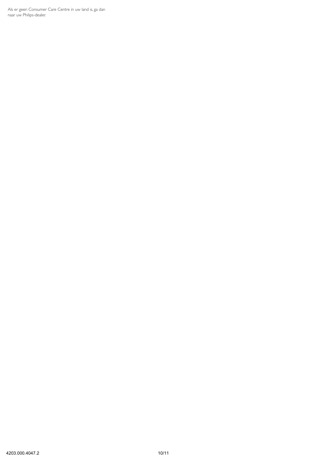Als er geen Consumer Care Centre in uw land is, ga dan naar uw Philips-dealer.